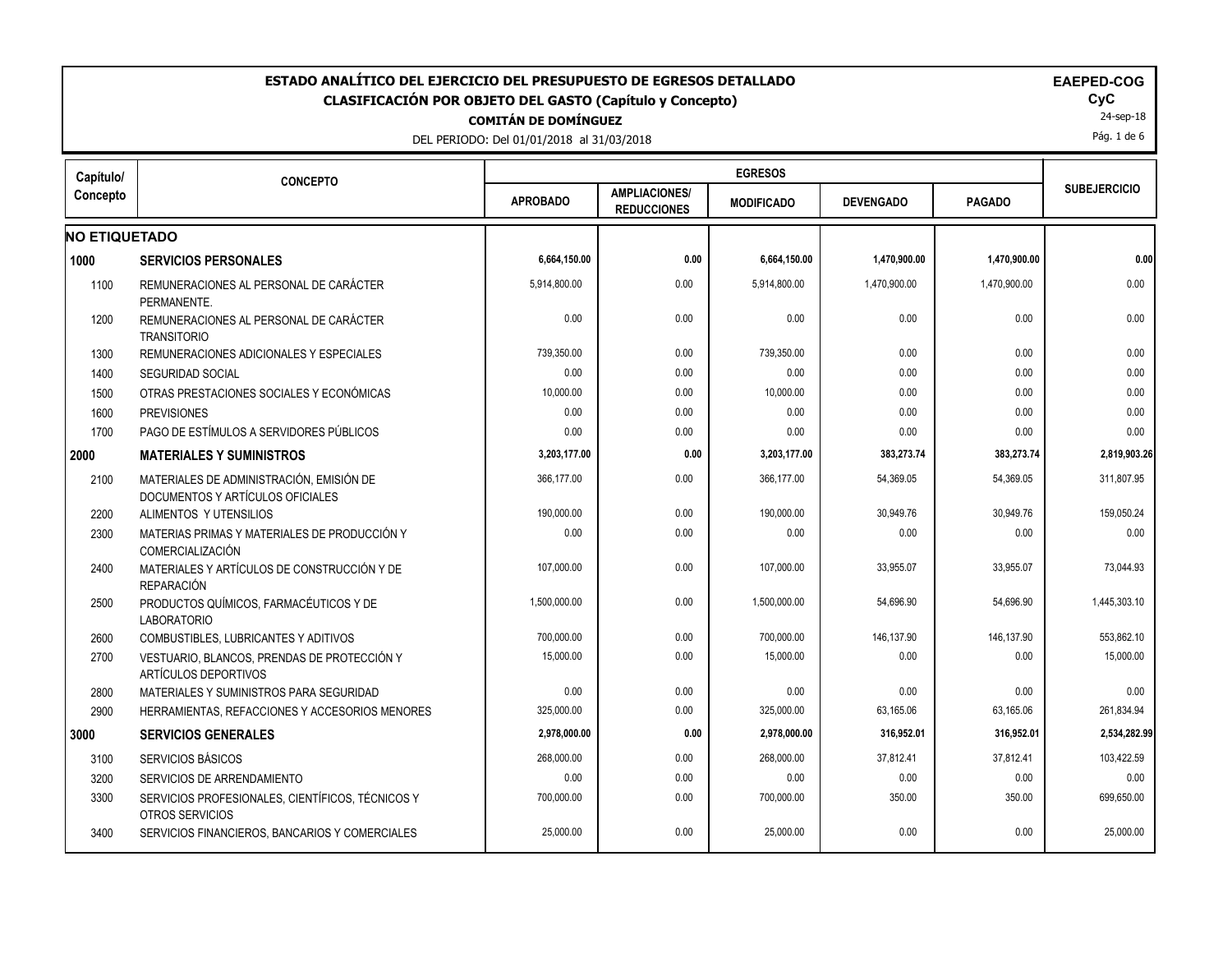| ESTADO ANALÍTICO DEL EJERCICIO DEL PRESUPUESTO DE EGRESOS DETALLADO<br><b>EAEPED-COG</b><br><b>CLASIFICACIÓN POR OBJETO DEL GASTO (Capítulo y Concepto)</b><br><b>COMITÁN DE DOMÍNGUEZ</b><br>DEL PERIODO: Del 01/01/2018 al 31/03/2018 |                                                                              |                 |                                            |                   |                  |               |                     |
|-----------------------------------------------------------------------------------------------------------------------------------------------------------------------------------------------------------------------------------------|------------------------------------------------------------------------------|-----------------|--------------------------------------------|-------------------|------------------|---------------|---------------------|
| Capítulo/                                                                                                                                                                                                                               | <b>CONCEPTO</b>                                                              |                 |                                            | <b>EGRESOS</b>    |                  |               |                     |
| Concepto                                                                                                                                                                                                                                |                                                                              | <b>APROBADO</b> | <b>AMPLIACIONES/</b><br><b>REDUCCIONES</b> | <b>MODIFICADO</b> | <b>DEVENGADO</b> | <b>PAGADO</b> | <b>SUBEJERCICIO</b> |
| <b>NO ETIQUETADO</b>                                                                                                                                                                                                                    |                                                                              |                 |                                            |                   |                  |               |                     |
| 1000                                                                                                                                                                                                                                    | <b>SERVICIOS PERSONALES</b>                                                  | 6,664,150.00    | 0.00                                       | 6,664,150.00      | 1,470,900.00     | 1,470,900.00  | 0.00                |
| 1100                                                                                                                                                                                                                                    | REMUNERACIONES AL PERSONAL DE CARÁCTER<br>PERMANENTE.                        | 5,914,800.00    | 0.00                                       | 5,914,800.00      | 1,470,900.00     | 1,470,900.00  | 0.00                |
| 1200                                                                                                                                                                                                                                    | REMUNERACIONES AL PERSONAL DE CARÁCTER<br><b>TRANSITORIO</b>                 | 0.00            | 0.00                                       | 0.00              | 0.00             | 0.00          | 0.00                |
| 1300                                                                                                                                                                                                                                    | REMUNERACIONES ADICIONALES Y ESPECIALES                                      | 739,350.00      | 0.00                                       | 739,350.00        | 0.00             | 0.00          | 0.00                |
| 1400                                                                                                                                                                                                                                    | <b>SEGURIDAD SOCIAL</b>                                                      | 0.00            | 0.00                                       | 0.00              | 0.00             | 0.00          | 0.00                |
| 1500                                                                                                                                                                                                                                    | OTRAS PRESTACIONES SOCIALES Y ECONÓMICAS                                     | 10,000.00       | 0.00                                       | 10,000.00         | 0.00             | 0.00          | 0.00                |
| 1600                                                                                                                                                                                                                                    | <b>PREVISIONES</b>                                                           | 0.00            | 0.00                                       | 0.00              | 0.00             | 0.00          | 0.00                |
| 1700                                                                                                                                                                                                                                    | PAGO DE ESTÍMULOS A SERVIDORES PÚBLICOS                                      | 0.00            | 0.00                                       | 0.00              | 0.00             | 0.00          | 0.00                |
|                                                                                                                                                                                                                                         | <b>MATERIALES Y SUMINISTROS</b>                                              | 3,203,177.00    | 0.00                                       | 3,203,177.00      | 383,273.74       | 383,273.74    | 2,819,903.26        |
| 2100                                                                                                                                                                                                                                    | MATERIALES DE ADMINISTRACIÓN, EMISIÓN DE<br>DOCUMENTOS Y ARTÍCULOS OFICIALES | 366,177.00      | 0.00                                       | 366,177.00        | 54,369.05        | 54,369.05     | 311,807.95          |
| 2200                                                                                                                                                                                                                                    | ALIMENTOS Y UTENSILIOS                                                       | 190,000.00      | 0.00                                       | 190,000.00        | 30,949.76        | 30,949.76     | 159,050.24          |
| 2300                                                                                                                                                                                                                                    | MATERIAS PRIMAS Y MATERIALES DE PRODUCCIÓN Y<br>COMERCIALIZACIÓN             | 0.00            | 0.00                                       | 0.00              | 0.00             | 0.00          | 0.00                |
| 2400                                                                                                                                                                                                                                    | MATERIALES Y ARTÍCULOS DE CONSTRUCCIÓN Y DE<br><b>REPARACIÓN</b>             | 107,000.00      | 0.00                                       | 107,000.00        | 33,955.07        | 33,955.07     | 73,044.93           |
| 2500                                                                                                                                                                                                                                    | PRODUCTOS QUÍMICOS, FARMACÉUTICOS Y DE<br><b>LABORATORIO</b>                 | 1,500,000.00    | 0.00                                       | 1,500,000.00      | 54,696.90        | 54,696.90     | 1,445,303.10        |
| 2600                                                                                                                                                                                                                                    | COMBUSTIBLES, LUBRICANTES Y ADITIVOS                                         | 700,000.00      | 0.00                                       | 700,000.00        | 146,137.90       | 146,137.90    | 553,862.10          |
| 2700                                                                                                                                                                                                                                    | VESTUARIO, BLANCOS, PRENDAS DE PROTECCIÓN Y<br>ARTÍCULOS DEPORTIVOS          | 15,000.00       | 0.00                                       | 15,000.00         | 0.00             | 0.00          | 15,000.00           |
| 2800                                                                                                                                                                                                                                    | MATERIALES Y SUMINISTROS PARA SEGURIDAD                                      | 0.00            | 0.00                                       | 0.00              | 0.00             | 0.00          | 0.00                |
| 2900                                                                                                                                                                                                                                    | HERRAMIENTAS, REFACCIONES Y ACCESORIOS MENORES                               | 325,000.00      | 0.00                                       | 325,000.00        | 63,165.06        | 63,165.06     | 261,834.94          |
|                                                                                                                                                                                                                                         | <b>SERVICIOS GENERALES</b>                                                   | 2,978,000.00    | 0.00                                       | 2,978,000.00      | 316,952.01       | 316,952.01    | 2,534,282.99        |
| 3100                                                                                                                                                                                                                                    | SERVICIOS BÁSICOS                                                            | 268,000.00      | 0.00                                       | 268.000.00        | 37,812.41        | 37.812.41     | 103.422.59          |
| 3200                                                                                                                                                                                                                                    | SERVICIOS DE ARRENDAMIENTO                                                   | 0.00            | 0.00                                       | 0.00              | 0.00             | 0.00          | 0.00                |
| 3300                                                                                                                                                                                                                                    | SERVICIOS PROFESIONALES, CIENTÍFICOS, TÉCNICOS Y<br>OTROS SERVICIOS          | 700,000.00      | 0.00                                       | 700,000.00        | 350.00           | 350.00        | 699,650.00          |
| 3400                                                                                                                                                                                                                                    | SERVICIOS FINANCIEROS, BANCARIOS Y COMERCIALES                               | 25,000.00       | 0.00                                       | 25,000.00         | 0.00             | 0.00          | 25,000.00           |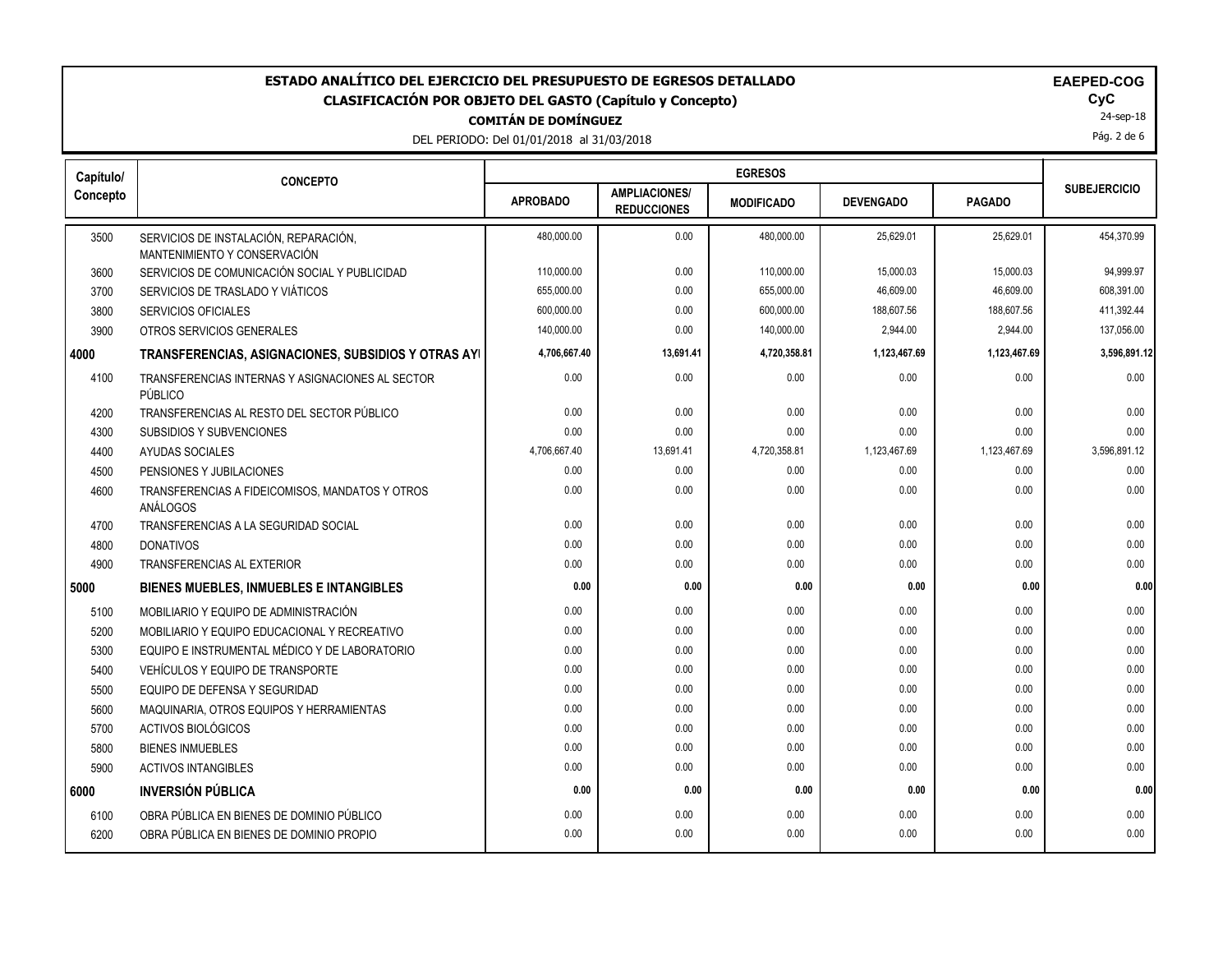# **COMITÁN DE DOMÍNGUEZ** ESTADO ANALÍTICO DEL EJERCICIO DEL PRESUPUESTO DE EGRESOS DETALLADO<br>CLASIFICACIÓN POR OBJETO DEL GASTO (Capítulo y Concepto) **ELASIFICACIÓN POR OBJETO DEL GASTO (Capítulo** y Concepto) **CLASIFICACIÓN POR OBJETO DEL GASTO (Capítulo y Concepto) CyC**

DEL PERIODO: Del 01/01/2018 al 31/03/2018

|  |  |  |  | <b>EAEPED-COG</b> |  |
|--|--|--|--|-------------------|--|
|--|--|--|--|-------------------|--|

24-sep-18

Pág. 2 de 6

| Capítulo/ | <b>CONCEPTO</b>                                                       |                 |                                            |                   |                  |               |                     |
|-----------|-----------------------------------------------------------------------|-----------------|--------------------------------------------|-------------------|------------------|---------------|---------------------|
| Concepto  |                                                                       | <b>APROBADO</b> | <b>AMPLIACIONES/</b><br><b>REDUCCIONES</b> | <b>MODIFICADO</b> | <b>DEVENGADO</b> | <b>PAGADO</b> | <b>SUBEJERCICIO</b> |
| 3500      | SERVICIOS DE INSTALACIÓN, REPARACIÓN,<br>MANTENIMIENTO Y CONSERVACIÓN | 480,000.00      | 0.00                                       | 480,000.00        | 25,629.01        | 25,629.01     | 454,370.99          |
| 3600      | SERVICIOS DE COMUNICACIÓN SOCIAL Y PUBLICIDAD                         | 110,000.00      | 0.00                                       | 110,000.00        | 15,000.03        | 15,000.03     | 94,999.97           |
| 3700      | SERVICIOS DE TRASLADO Y VIÁTICOS                                      | 655,000.00      | 0.00                                       | 655,000.00        | 46,609.00        | 46,609.00     | 608,391.00          |
| 3800      | SERVICIOS OFICIALES                                                   | 600,000.00      | 0.00                                       | 600,000.00        | 188,607.56       | 188,607.56    | 411,392.44          |
| 3900      | OTROS SERVICIOS GENERALES                                             | 140,000.00      | 0.00                                       | 140.000.00        | 2,944.00         | 2.944.00      | 137,056.00          |
| 4000      | TRANSFERENCIAS, ASIGNACIONES, SUBSIDIOS Y OTRAS AYI                   | 4,706,667.40    | 13,691.41                                  | 4,720,358.81      | 1,123,467.69     | 1,123,467.69  | 3,596,891.12        |
| 4100      | TRANSFERENCIAS INTERNAS Y ASIGNACIONES AL SECTOR<br>PÚBLICO           | 0.00            | 0.00                                       | 0.00              | 0.00             | 0.00          | 0.00                |
| 4200      | TRANSFERENCIAS AL RESTO DEL SECTOR PÚBLICO                            | 0.00            | 0.00                                       | 0.00              | 0.00             | 0.00          | 0.00                |
| 4300      | SUBSIDIOS Y SUBVENCIONES                                              | 0.00            | 0.00                                       | 0.00              | 0.00             | 0.00          | 0.00                |
| 4400      | AYUDAS SOCIALES                                                       | 4,706,667.40    | 13,691.41                                  | 4,720,358.81      | 1,123,467.69     | 1,123,467.69  | 3,596,891.12        |
| 4500      | PENSIONES Y JUBILACIONES                                              | 0.00            | 0.00                                       | 0.00              | 0.00             | 0.00          | 0.00                |
| 4600      | TRANSFERENCIAS A FIDEICOMISOS, MANDATOS Y OTROS<br>ANÁLOGOS           | 0.00            | 0.00                                       | 0.00              | 0.00             | 0.00          | 0.00                |
| 4700      | TRANSFERENCIAS A LA SEGURIDAD SOCIAL                                  | 0.00            | 0.00                                       | 0.00              | 0.00             | 0.00          | 0.00                |
| 4800      | <b>DONATIVOS</b>                                                      | 0.00            | 0.00                                       | 0.00              | 0.00             | 0.00          | 0.00                |
| 4900      | <b>TRANSFERENCIAS AL EXTERIOR</b>                                     | 0.00            | 0.00                                       | 0.00              | 0.00             | 0.00          | 0.00                |
| 5000      | <b>BIENES MUEBLES, INMUEBLES E INTANGIBLES</b>                        | 0.00            | 0.00                                       | 0.00              | 0.00             | 0.00          | 0.00                |
| 5100      | MOBILIARIO Y EQUIPO DE ADMINISTRACIÓN                                 | 0.00            | 0.00                                       | 0.00              | 0.00             | 0.00          | 0.00                |
| 5200      | MOBILIARIO Y EQUIPO EDUCACIONAL Y RECREATIVO                          | 0.00            | 0.00                                       | 0.00              | 0.00             | 0.00          | 0.00                |
| 5300      | EQUIPO E INSTRUMENTAL MÉDICO Y DE LABORATORIO                         | 0.00            | 0.00                                       | 0.00              | 0.00             | 0.00          | 0.00                |
| 5400      | VEHÍCULOS Y EQUIPO DE TRANSPORTE                                      | 0.00            | 0.00                                       | 0.00              | 0.00             | 0.00          | 0.00                |
| 5500      | EQUIPO DE DEFENSA Y SEGURIDAD                                         | 0.00            | 0.00                                       | 0.00              | 0.00             | 0.00          | 0.00                |
| 5600      | MAQUINARIA, OTROS EQUIPOS Y HERRAMIENTAS                              | 0.00            | 0.00                                       | 0.00              | 0.00             | 0.00          | 0.00                |
| 5700      | <b>ACTIVOS BIOLÓGICOS</b>                                             | 0.00            | 0.00                                       | 0.00              | 0.00             | 0.00          | 0.00                |
| 5800      | <b>BIENES INMUEBLES</b>                                               | 0.00            | 0.00                                       | 0.00              | 0.00             | 0.00          | 0.00                |
| 5900      | <b>ACTIVOS INTANGIBLES</b>                                            | 0.00            | 0.00                                       | 0.00              | 0.00             | 0.00          | 0.00                |
| l 6000    | <b>INVERSIÓN PÚBLICA</b>                                              | 0.00            | 0.00                                       | 0.00              | 0.00             | 0.00          | 0.00                |
| 6100      | OBRA PÚBLICA EN BIENES DE DOMINIO PÚBLICO                             | 0.00            | 0.00                                       | 0.00              | 0.00             | 0.00          | 0.00                |
| 6200      | OBRA PÚBLICA EN BIENES DE DOMINIO PROPIO                              | 0.00            | 0.00                                       | 0.00              | 0.00             | 0.00          | 0.00                |
|           |                                                                       |                 |                                            |                   |                  |               |                     |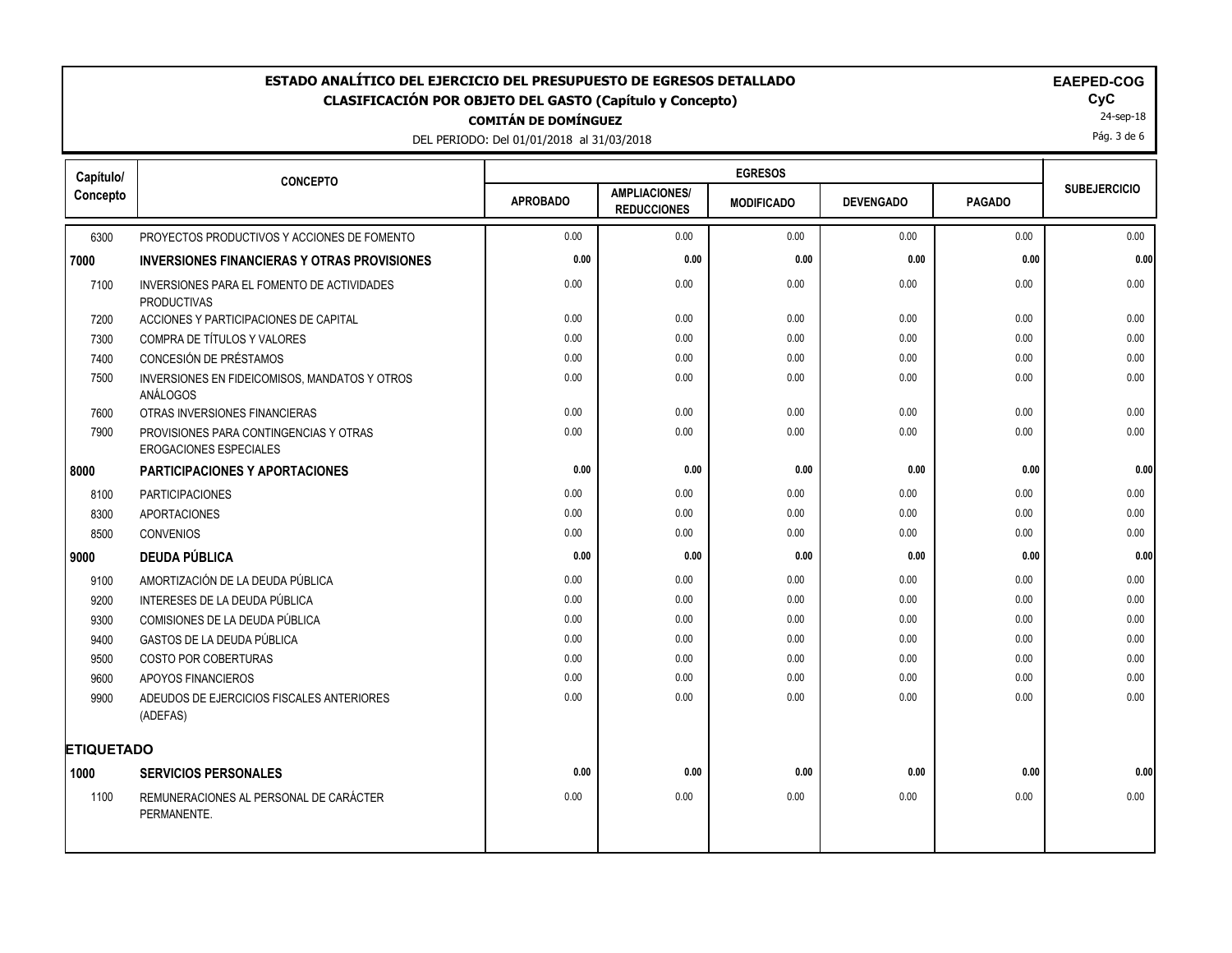## **COMITÁN DE DOMÍNGUEZ ESTADO ANALÍTICO DEL EJERCICIO DEL PRESUPUESTO DE EGRESOS DETALLADO EAEPED-COG CLASIFICACIÓN POR OBJETO DEL GASTO (Capítulo y Concepto) CyC**

DEL PERIODO: Del 01/01/2018 al 31/03/2018

| <b>EAEPED-CO</b> |  |
|------------------|--|
|------------------|--|

24-sep-18

Pág. 3 de 6

| Capítulo/         | <b>CONCEPTO</b>                                                         |                 |                                            |                   |                  |               |                     |
|-------------------|-------------------------------------------------------------------------|-----------------|--------------------------------------------|-------------------|------------------|---------------|---------------------|
| Concepto          |                                                                         | <b>APROBADO</b> | <b>AMPLIACIONES/</b><br><b>REDUCCIONES</b> | <b>MODIFICADO</b> | <b>DEVENGADO</b> | <b>PAGADO</b> | <b>SUBEJERCICIO</b> |
| 6300              | PROYECTOS PRODUCTIVOS Y ACCIONES DE FOMENTO                             | 0.00            | 0.00                                       | 0.00              | 0.00             | 0.00          | 0.00                |
| 7000              | <b>INVERSIONES FINANCIERAS Y OTRAS PROVISIONES</b>                      | 0.00            | 0.00                                       | 0.00              | 0.00             | 0.00          | 0.00                |
| 7100              | INVERSIONES PARA EL FOMENTO DE ACTIVIDADES<br><b>PRODUCTIVAS</b>        | 0.00            | 0.00                                       | 0.00              | 0.00             | 0.00          | 0.00                |
| 7200              | ACCIONES Y PARTICIPACIONES DE CAPITAL                                   | 0.00            | 0.00                                       | 0.00              | 0.00             | 0.00          | 0.00                |
| 7300              | COMPRA DE TÍTULOS Y VALORES                                             | 0.00            | 0.00                                       | 0.00              | 0.00             | 0.00          | 0.00                |
| 7400              | CONCESIÓN DE PRÉSTAMOS                                                  | 0.00            | 0.00                                       | 0.00              | 0.00             | 0.00          | 0.00                |
| 7500              | INVERSIONES EN FIDEICOMISOS, MANDATOS Y OTROS<br>ANÁLOGOS               | 0.00            | 0.00                                       | 0.00              | 0.00             | 0.00          | 0.00                |
| 7600              | OTRAS INVERSIONES FINANCIERAS                                           | 0.00            | 0.00                                       | 0.00              | 0.00             | 0.00          | 0.00                |
| 7900              | PROVISIONES PARA CONTINGENCIAS Y OTRAS<br><b>EROGACIONES ESPECIALES</b> | 0.00            | 0.00                                       | 0.00              | 0.00             | 0.00          | 0.00                |
| 8000              | <b>PARTICIPACIONES Y APORTACIONES</b>                                   | 0.00            | 0.00                                       | 0.00              | 0.00             | 0.00          | 0.00                |
| 8100              | <b>PARTICIPACIONES</b>                                                  | 0.00            | 0.00                                       | 0.00              | 0.00             | 0.00          | 0.00                |
| 8300              | <b>APORTACIONES</b>                                                     | 0.00            | 0.00                                       | 0.00              | 0.00             | 0.00          | 0.00                |
| 8500              | <b>CONVENIOS</b>                                                        | 0.00            | 0.00                                       | 0.00              | 0.00             | 0.00          | 0.00                |
| 9000              | <b>DEUDA PÚBLICA</b>                                                    | 0.00            | 0.00                                       | 0.00              | 0.00             | 0.00          | 0.00                |
| 9100              | AMORTIZACIÓN DE LA DEUDA PÚBLICA                                        | 0.00            | 0.00                                       | 0.00              | 0.00             | 0.00          | 0.00                |
| 9200              | INTERESES DE LA DEUDA PÚBLICA                                           | 0.00            | 0.00                                       | 0.00              | 0.00             | 0.00          | 0.00                |
| 9300              | COMISIONES DE LA DEUDA PÚBLICA                                          | 0.00            | 0.00                                       | 0.00              | 0.00             | 0.00          | 0.00                |
| 9400              | GASTOS DE LA DEUDA PÚBLICA                                              | 0.00            | 0.00                                       | 0.00              | 0.00             | 0.00          | 0.00                |
| 9500              | <b>COSTO POR COBERTURAS</b>                                             | 0.00            | 0.00                                       | 0.00              | 0.00             | 0.00          | 0.00                |
| 9600              | APOYOS FINANCIEROS                                                      | 0.00            | 0.00                                       | 0.00              | 0.00             | 0.00          | 0.00                |
| 9900              | ADEUDOS DE EJERCICIOS FISCALES ANTERIORES<br>(ADEFAS)                   | 0.00            | 0.00                                       | 0.00              | 0.00             | 0.00          | 0.00                |
| <b>ETIQUETADO</b> |                                                                         |                 |                                            |                   |                  |               |                     |
| 1000              | <b>SERVICIOS PERSONALES</b>                                             | 0.00            | 0.00                                       | 0.00              | 0.00             | 0.00          | 0.00                |
| 1100              | REMUNERACIONES AL PERSONAL DE CARÁCTER<br>PERMANENTE.                   | 0.00            | 0.00                                       | 0.00              | 0.00             | 0.00          | 0.00                |
|                   |                                                                         |                 |                                            |                   |                  |               |                     |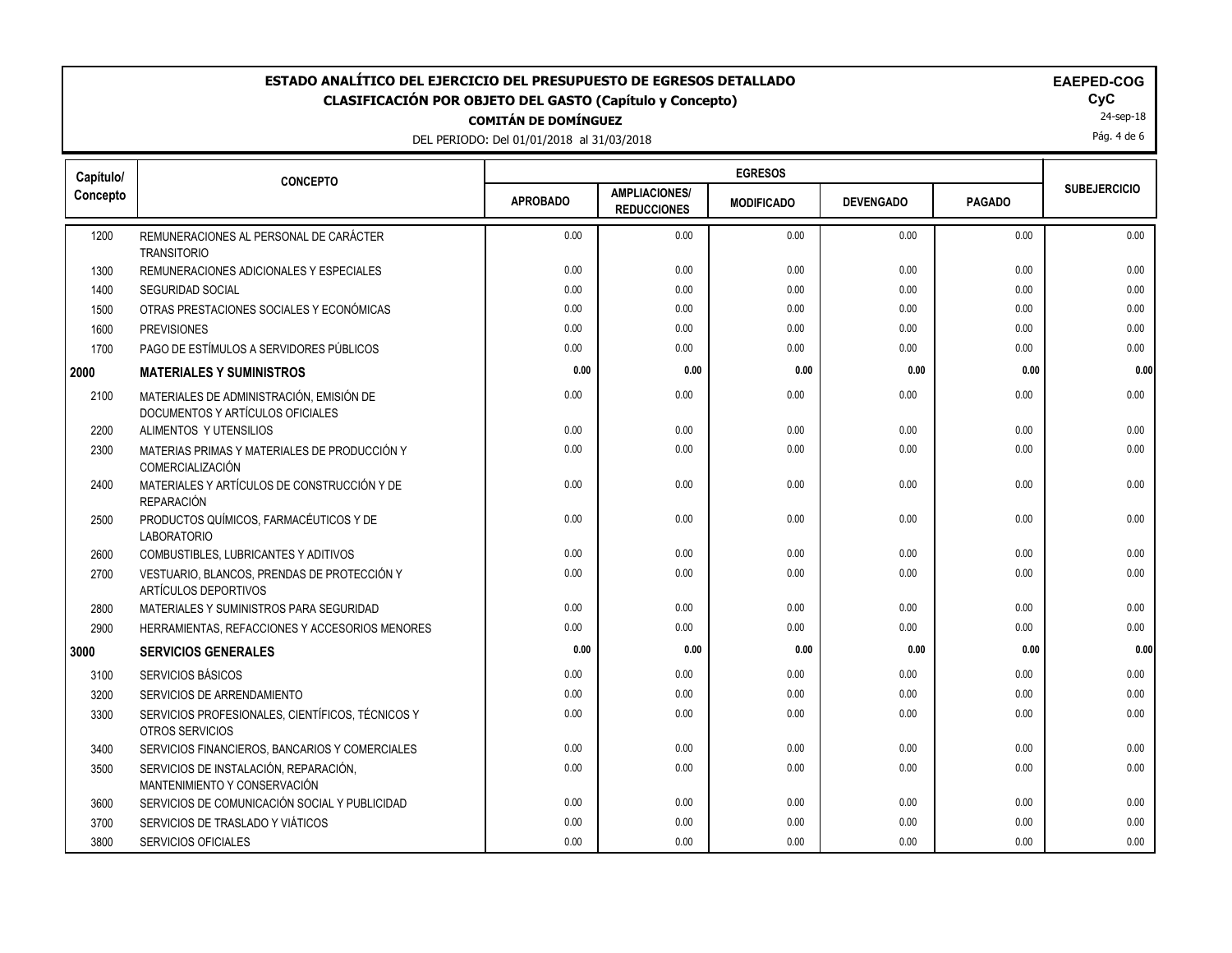### **COMITÁN DE DOMÍNGUEZ ESTADO ANALÍTICO DEL EJERCICIO DEL PRESUPUESTO DE EGRESOS DETALLADO EAEPED-COG CLASIFICACIÓN POR OBJETO DEL GASTO (Capítulo y Concepto) CyC**

DEL PERIODO: Del 01/01/2018 al 31/03/2018

| <b>EAEPED-COO</b> |  |  |  |  |
|-------------------|--|--|--|--|
|                   |  |  |  |  |

24-sep-18

Pág. 4 de 6

| Capítulo/ | <b>CONCEPTO</b>                                                              |                 |                                            |                   |                  |               |                     |
|-----------|------------------------------------------------------------------------------|-----------------|--------------------------------------------|-------------------|------------------|---------------|---------------------|
| Concepto  |                                                                              | <b>APROBADO</b> | <b>AMPLIACIONES/</b><br><b>REDUCCIONES</b> | <b>MODIFICADO</b> | <b>DEVENGADO</b> | <b>PAGADO</b> | <b>SUBEJERCICIO</b> |
| 1200      | REMUNERACIONES AL PERSONAL DE CARÁCTER                                       | 0.00            | 0.00                                       | 0.00              | 0.00             | 0.00          | 0.00                |
| 1300      | <b>TRANSITORIO</b><br>REMUNERACIONES ADICIONALES Y ESPECIALES                | 0.00            | 0.00                                       | 0.00              | 0.00             | 0.00          | 0.00                |
| 1400      | SEGURIDAD SOCIAL                                                             | 0.00            | 0.00                                       | 0.00              | 0.00             | 0.00          | 0.00                |
| 1500      | OTRAS PRESTACIONES SOCIALES Y ECONÓMICAS                                     | 0.00            | 0.00                                       | 0.00              | 0.00             | 0.00          | 0.00                |
| 1600      | <b>PREVISIONES</b>                                                           | 0.00            | 0.00                                       | 0.00              | 0.00             | 0.00          | 0.00                |
| 1700      | PAGO DE ESTÍMULOS A SERVIDORES PÚBLICOS                                      | 0.00            | 0.00                                       | 0.00              | 0.00             | 0.00          | 0.00                |
| 2000      | <b>MATERIALES Y SUMINISTROS</b>                                              | 0.00            | 0.00                                       | 0.00              | 0.00             | 0.00          | 0.00                |
| 2100      | MATERIALES DE ADMINISTRACIÓN, EMISIÓN DE<br>DOCUMENTOS Y ARTÍCULOS OFICIALES | 0.00            | 0.00                                       | 0.00              | 0.00             | 0.00          | 0.00                |
| 2200      | ALIMENTOS Y UTENSILIOS                                                       | 0.00            | 0.00                                       | 0.00              | 0.00             | 0.00          | 0.00                |
| 2300      | MATERIAS PRIMAS Y MATERIALES DE PRODUCCIÓN Y<br>COMERCIALIZACIÓN             | 0.00            | 0.00                                       | 0.00              | 0.00             | 0.00          | 0.00                |
| 2400      | MATERIALES Y ARTÍCULOS DE CONSTRUCCIÓN Y DE<br><b>REPARACIÓN</b>             | 0.00            | 0.00                                       | 0.00              | 0.00             | 0.00          | 0.00                |
| 2500      | PRODUCTOS QUÍMICOS, FARMACÉUTICOS Y DE<br><b>LABORATORIO</b>                 | 0.00            | 0.00                                       | 0.00              | 0.00             | 0.00          | 0.00                |
| 2600      | COMBUSTIBLES, LUBRICANTES Y ADITIVOS                                         | 0.00            | 0.00                                       | 0.00              | 0.00             | 0.00          | 0.00                |
| 2700      | VESTUARIO, BLANCOS, PRENDAS DE PROTECCIÓN Y<br>ARTÍCULOS DEPORTIVOS          | 0.00            | 0.00                                       | 0.00              | 0.00             | 0.00          | 0.00                |
| 2800      | MATERIALES Y SUMINISTROS PARA SEGURIDAD                                      | 0.00            | 0.00                                       | 0.00              | 0.00             | 0.00          | 0.00                |
| 2900      | HERRAMIENTAS, REFACCIONES Y ACCESORIOS MENORES                               | 0.00            | 0.00                                       | 0.00              | 0.00             | 0.00          | 0.00                |
| 3000      | <b>SERVICIOS GENERALES</b>                                                   | 0.00            | 0.00                                       | 0.00              | 0.00             | 0.00          | 0.00                |
| 3100      | SERVICIOS BÁSICOS                                                            | 0.00            | 0.00                                       | 0.00              | 0.00             | 0.00          | 0.00                |
| 3200      | SERVICIOS DE ARRENDAMIENTO                                                   | 0.00            | 0.00                                       | 0.00              | 0.00             | 0.00          | 0.00                |
| 3300      | SERVICIOS PROFESIONALES, CIENTÍFICOS, TÉCNICOS Y<br>OTROS SERVICIOS          | 0.00            | 0.00                                       | 0.00              | 0.00             | 0.00          | 0.00                |
| 3400      | SERVICIOS FINANCIEROS, BANCARIOS Y COMERCIALES                               | 0.00            | 0.00                                       | 0.00              | 0.00             | 0.00          | 0.00                |
| 3500      | SERVICIOS DE INSTALACIÓN, REPARACIÓN,<br>MANTENIMIENTO Y CONSERVACIÓN        | 0.00            | 0.00                                       | 0.00              | 0.00             | 0.00          | 0.00                |
| 3600      | SERVICIOS DE COMUNICACIÓN SOCIAL Y PUBLICIDAD                                | 0.00            | 0.00                                       | 0.00              | 0.00             | 0.00          | 0.00                |
| 3700      | SERVICIOS DE TRASLADO Y VIÁTICOS                                             | 0.00            | 0.00                                       | 0.00              | 0.00             | 0.00          | 0.00                |
| 3800      | <b>SERVICIOS OFICIALES</b>                                                   | 0.00            | 0.00                                       | 0.00              | 0.00             | 0.00          | 0.00                |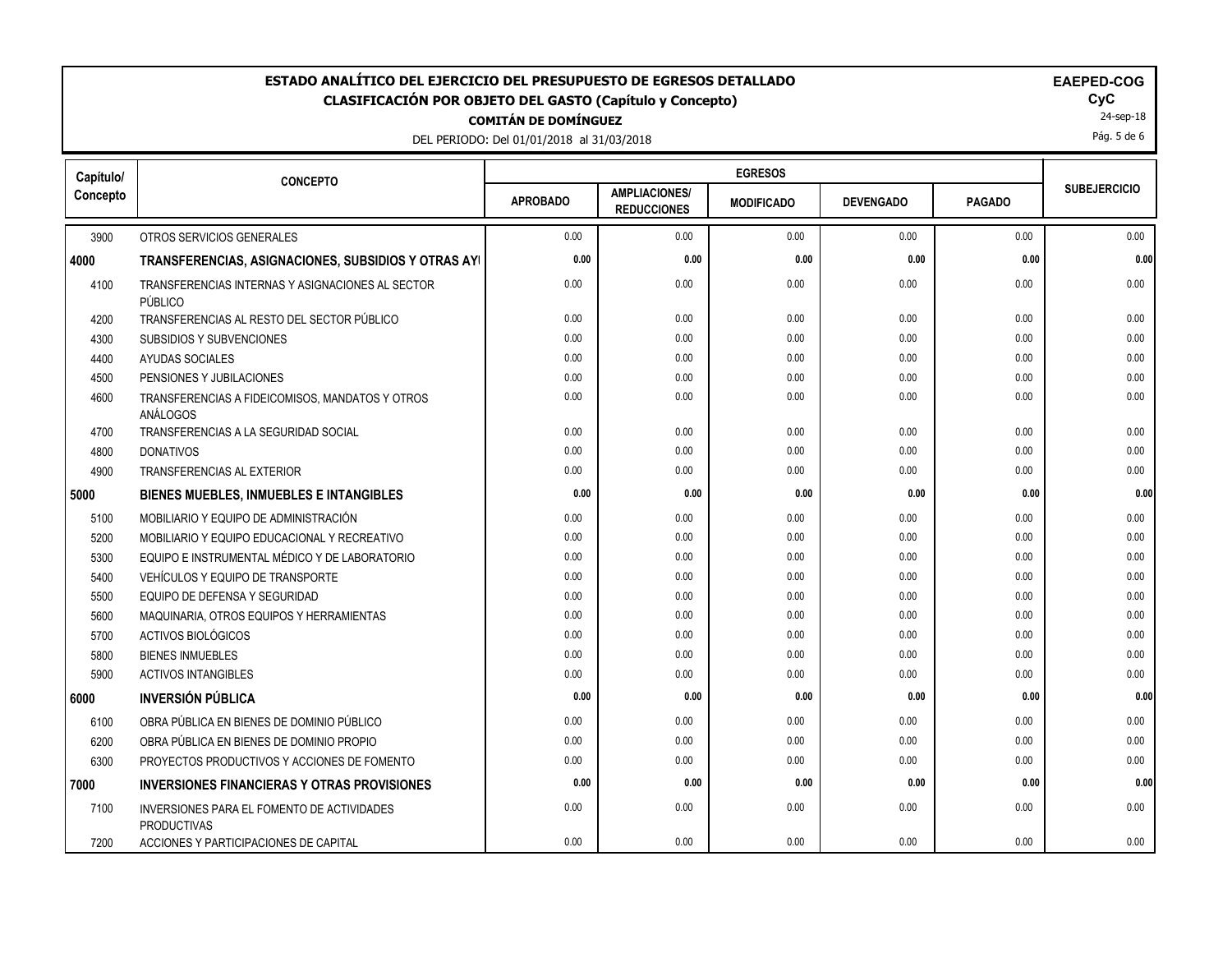### **COMITÁN DE DOMÍNGUEZ** ESTADO ANALÍTICO DEL EJERCICIO DEL PRESUPUESTO DE EGRESOS DETALLADO<br>CLASIFICACIÓN POR OBJETO DEL GASTO (Capítulo y Concepto) **ELACIO DEL GASTO (CALIGACIO CLASIFICACIÓN POR OBJETO DEL GASTO (Capítulo y Concepto) CyC**

DEL PERIODO: Del 01/01/2018 al 31/03/2018

| <b>EAEPED-COG</b> |  |  |  |
|-------------------|--|--|--|
|                   |  |  |  |

24-sep-18

Pág. 5 de 6

| Capítulo/ | <b>CONCEPTO</b>                                                  |                 |                                            |                   |                  |               |                     |
|-----------|------------------------------------------------------------------|-----------------|--------------------------------------------|-------------------|------------------|---------------|---------------------|
| Concepto  |                                                                  | <b>APROBADO</b> | <b>AMPLIACIONES/</b><br><b>REDUCCIONES</b> | <b>MODIFICADO</b> | <b>DEVENGADO</b> | <b>PAGADO</b> | <b>SUBEJERCICIO</b> |
| 3900      | OTROS SERVICIOS GENERALES                                        | 0.00            | 0.00                                       | 0.00              | 0.00             | 0.00          | 0.00                |
| 4000      | TRANSFERENCIAS, ASIGNACIONES, SUBSIDIOS Y OTRAS AYI              | 0.00            | 0.00                                       | 0.00              | 0.00             | 0.00          | 0.00                |
| 4100      | TRANSFERENCIAS INTERNAS Y ASIGNACIONES AL SECTOR<br>PÚBLICO      | 0.00            | 0.00                                       | 0.00              | 0.00             | 0.00          | 0.00                |
| 4200      | TRANSFERENCIAS AL RESTO DEL SECTOR PÚBLICO                       | 0.00            | 0.00                                       | 0.00              | 0.00             | 0.00          | 0.00                |
| 4300      | <b>SUBSIDIOS Y SUBVENCIONES</b>                                  | 0.00            | 0.00                                       | 0.00              | 0.00             | 0.00          | 0.00                |
| 4400      | <b>AYUDAS SOCIALES</b>                                           | 0.00            | 0.00                                       | 0.00              | 0.00             | 0.00          | 0.00                |
| 4500      | PENSIONES Y JUBILACIONES                                         | 0.00            | 0.00                                       | 0.00              | 0.00             | 0.00          | 0.00                |
| 4600      | TRANSFERENCIAS A FIDEICOMISOS, MANDATOS Y OTROS<br>ANÁLOGOS      | 0.00            | 0.00                                       | 0.00              | 0.00             | 0.00          | 0.00                |
| 4700      | TRANSFERENCIAS A LA SEGURIDAD SOCIAL                             | 0.00            | 0.00                                       | 0.00              | 0.00             | 0.00          | 0.00                |
| 4800      | <b>DONATIVOS</b>                                                 | 0.00            | 0.00                                       | 0.00              | 0.00             | 0.00          | 0.00                |
| 4900      | TRANSFERENCIAS AL EXTERIOR                                       | 0.00            | 0.00                                       | 0.00              | 0.00             | 0.00          | 0.00                |
| 5000      | <b>BIENES MUEBLES, INMUEBLES E INTANGIBLES</b>                   | 0.00            | 0.00                                       | 0.00              | 0.00             | 0.00          | 0.00                |
| 5100      | MOBILIARIO Y EQUIPO DE ADMINISTRACIÓN                            | 0.00            | 0.00                                       | 0.00              | 0.00             | 0.00          | 0.00                |
| 5200      | MOBILIARIO Y EQUIPO EDUCACIONAL Y RECREATIVO                     | 0.00            | 0.00                                       | 0.00              | 0.00             | 0.00          | 0.00                |
| 5300      | EQUIPO E INSTRUMENTAL MÉDICO Y DE LABORATORIO                    | 0.00            | 0.00                                       | 0.00              | 0.00             | 0.00          | 0.00                |
| 5400      | VEHÍCULOS Y EQUIPO DE TRANSPORTE                                 | 0.00            | 0.00                                       | 0.00              | 0.00             | 0.00          | 0.00                |
| 5500      | EQUIPO DE DEFENSA Y SEGURIDAD                                    | 0.00            | 0.00                                       | 0.00              | 0.00             | 0.00          | 0.00                |
| 5600      | MAQUINARIA, OTROS EQUIPOS Y HERRAMIENTAS                         | 0.00            | 0.00                                       | 0.00              | 0.00             | 0.00          | 0.00                |
| 5700      | ACTIVOS BIOLÓGICOS                                               | 0.00            | 0.00                                       | 0.00              | 0.00             | 0.00          | 0.00                |
| 5800      | <b>BIENES INMUEBLES</b>                                          | 0.00            | 0.00                                       | 0.00              | 0.00             | 0.00          | 0.00                |
| 5900      | <b>ACTIVOS INTANGIBLES</b>                                       | 0.00            | 0.00                                       | 0.00              | 0.00             | 0.00          | 0.00                |
| 6000      | <b>INVERSIÓN PÚBLICA</b>                                         | 0.00            | 0.00                                       | 0.00              | 0.00             | 0.00          | 0.00                |
| 6100      | OBRA PÚBLICA EN BIENES DE DOMINIO PÚBLICO                        | 0.00            | 0.00                                       | 0.00              | 0.00             | 0.00          | 0.00                |
| 6200      | OBRA PÚBLICA EN BIENES DE DOMINIO PROPIO                         | 0.00            | 0.00                                       | 0.00              | 0.00             | 0.00          | 0.00                |
| 6300      | PROYECTOS PRODUCTIVOS Y ACCIONES DE FOMENTO                      | 0.00            | 0.00                                       | 0.00              | 0.00             | 0.00          | 0.00                |
| 7000      | <b>INVERSIONES FINANCIERAS Y OTRAS PROVISIONES</b>               | 0.00            | 0.00                                       | 0.00              | 0.00             | 0.00          | 0.00                |
| 7100      | INVERSIONES PARA EL FOMENTO DE ACTIVIDADES<br><b>PRODUCTIVAS</b> | 0.00            | 0.00                                       | 0.00              | 0.00             | 0.00          | 0.00                |
| 7200      | ACCIONES Y PARTICIPACIONES DE CAPITAL                            | 0.00            | 0.00                                       | 0.00              | 0.00             | 0.00          | 0.00                |